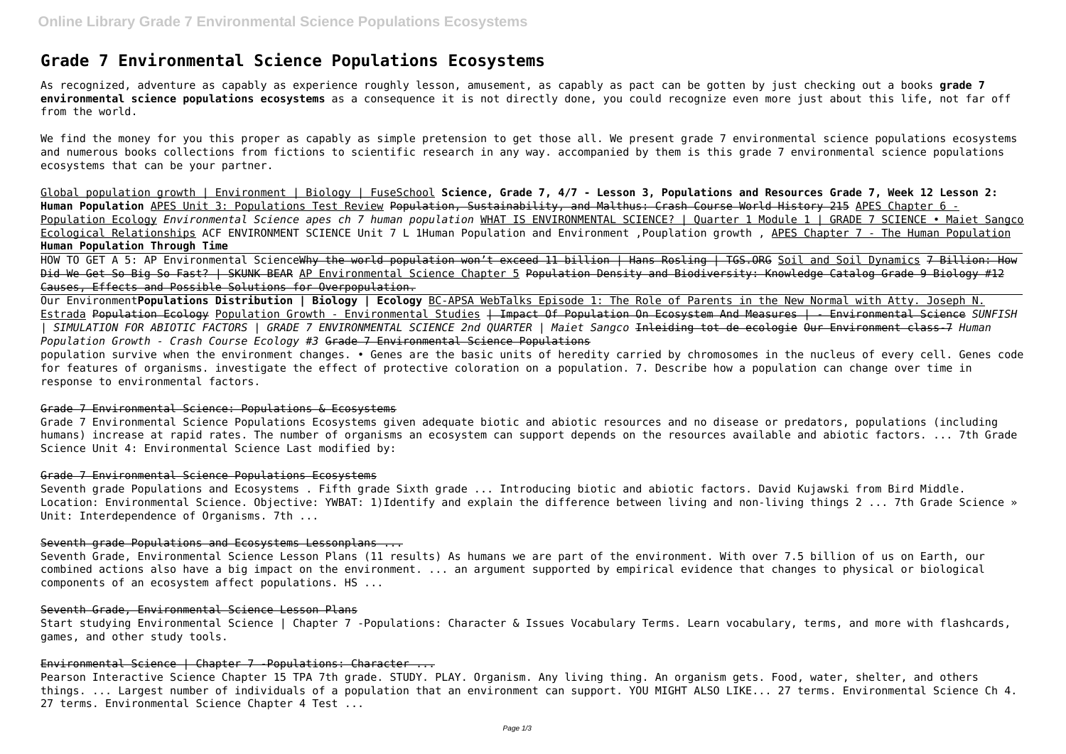# **Grade 7 Environmental Science Populations Ecosystems**

As recognized, adventure as capably as experience roughly lesson, amusement, as capably as pact can be gotten by just checking out a books **grade 7 environmental science populations ecosystems** as a consequence it is not directly done, you could recognize even more just about this life, not far off from the world.

We find the money for you this proper as capably as simple pretension to get those all. We present grade 7 environmental science populations ecosystems and numerous books collections from fictions to scientific research in any way. accompanied by them is this grade 7 environmental science populations ecosystems that can be your partner.

HOW TO GET A 5: AP Environmental ScienceWhy the world population won't exceed 11 billion | Hans Rosling | TGS.ORG Soil and Soil Dynamics 7 Billion: How Did We Get So Big So Fast? I SKUNK BEAR AP Environmental Science Chapter 5 Population Density and Biodiversity: Knowledge Catalog Grade 9 Biology #12 Causes, Effects and Possible Solutions for Overpopulation.

Global population growth | Environment | Biology | FuseSchool **Science, Grade 7, 4/7 - Lesson 3, Populations and Resources Grade 7, Week 12 Lesson 2: Human Population** APES Unit 3: Populations Test Review Population, Sustainability, and Malthus: Crash Course World History 215 APES Chapter 6 - Population Ecology *Environmental Science apes ch 7 human population* WHAT IS ENVIRONMENTAL SCIENCE? | Quarter 1 Module 1 | GRADE 7 SCIENCE • Maiet Sangco Ecological Relationships ACF ENVIRONMENT SCIENCE Unit 7 L 1Human Population and Environment ,Pouplation growth , APES Chapter 7 - The Human Population **Human Population Through Time**

Our Environment**Populations Distribution | Biology | Ecology** BC-APSA WebTalks Episode 1: The Role of Parents in the New Normal with Atty. Joseph N. Estrada Population Ecology Population Growth - Environmental Studies | Impact Of Population On Ecosystem And Measures | - Environmental Science *SUNFISH | SIMULATION FOR ABIOTIC FACTORS | GRADE 7 ENVIRONMENTAL SCIENCE 2nd QUARTER | Maiet Sangco* Inleiding tot de ecologie Our Environment class-7 *Human Population Growth - Crash Course Ecology #3* Grade 7 Environmental Science Populations

Start studying Environmental Science | Chapter 7 -Populations: Character & Issues Vocabulary Terms. Learn vocabulary, terms, and more with flashcards, games, and other study tools.

# Environmental Science | Chapter 7 - Populations: Character ...

population survive when the environment changes. • Genes are the basic units of heredity carried by chromosomes in the nucleus of every cell. Genes code for features of organisms. investigate the effect of protective coloration on a population. 7. Describe how a population can change over time in response to environmental factors.

#### Grade 7 Environmental Science: Populations & Ecosystems

Grade 7 Environmental Science Populations Ecosystems given adequate biotic and abiotic resources and no disease or predators, populations (including humans) increase at rapid rates. The number of organisms an ecosystem can support depends on the resources available and abiotic factors. ... 7th Grade Science Unit 4: Environmental Science Last modified by:

#### Grade 7 Environmental Science Populations Ecosystems

Seventh grade Populations and Ecosystems, Fifth grade Sixth grade ... Introducing biotic and abiotic factors. David Kujawski from Bird Middle. Location: Environmental Science. Objective: YWBAT: 1)Identify and explain the difference between living and non-living things 2 ... 7th Grade Science » Unit: Interdependence of Organisms, 7th ...

# Seventh grade Populations and Ecosystems Lessonplans ...

Seventh Grade, Environmental Science Lesson Plans (11 results) As humans we are part of the environment. With over 7.5 billion of us on Earth, our combined actions also have a big impact on the environment. ... an argument supported by empirical evidence that changes to physical or biological components of an ecosystem affect populations. HS ...

#### Seventh Grade, Environmental Science Lesson Plans

Pearson Interactive Science Chapter 15 TPA 7th grade. STUDY. PLAY. Organism. Any living thing. An organism gets. Food, water, shelter, and others things. ... Largest number of individuals of a population that an environment can support. YOU MIGHT ALSO LIKE... 27 terms. Environmental Science Ch 4. 27 terms. Environmental Science Chapter 4 Test ...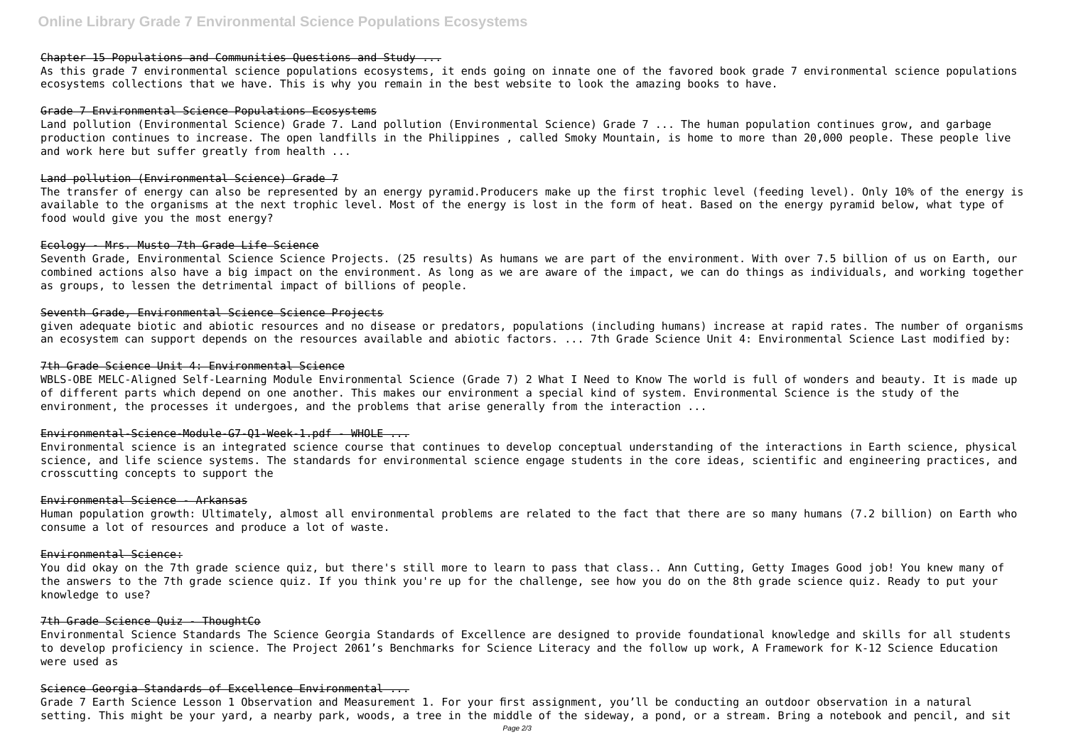### Chapter 15 Populations and Communities Questions and Study ...

As this grade 7 environmental science populations ecosystems, it ends going on innate one of the favored book grade 7 environmental science populations ecosystems collections that we have. This is why you remain in the best website to look the amazing books to have.

#### Grade 7 Environmental Science Populations Ecosystems

Land pollution (Environmental Science) Grade 7. Land pollution (Environmental Science) Grade 7 ... The human population continues grow, and garbage production continues to increase. The open landfills in the Philippines , called Smoky Mountain, is home to more than 20,000 people. These people live and work here but suffer greatly from health ...

#### Land pollution (Environmental Science) Grade 7

WBLS-OBE MELC-Aligned Self-Learning Module Environmental Science (Grade 7) 2 What I Need to Know The world is full of wonders and beauty. It is made up of different parts which depend on one another. This makes our environment a special kind of system. Environmental Science is the study of the environment, the processes it undergoes, and the problems that arise generally from the interaction ...

The transfer of energy can also be represented by an energy pyramid.Producers make up the first trophic level (feeding level). Only 10% of the energy is available to the organisms at the next trophic level. Most of the energy is lost in the form of heat. Based on the energy pyramid below, what type of food would give you the most energy?

#### Ecology - Mrs. Musto 7th Grade Life Science

Seventh Grade, Environmental Science Science Projects. (25 results) As humans we are part of the environment. With over 7.5 billion of us on Earth, our combined actions also have a big impact on the environment. As long as we are aware of the impact, we can do things as individuals, and working together as groups, to lessen the detrimental impact of billions of people.

#### Seventh Grade, Environmental Science Science Projects

given adequate biotic and abiotic resources and no disease or predators, populations (including humans) increase at rapid rates. The number of organisms an ecosystem can support depends on the resources available and abiotic factors. ... 7th Grade Science Unit 4: Environmental Science Last modified by:

#### 7th Grade Science Unit 4: Environmental Science

#### Environmental-Science-Module-G7-Q1-Week-1.pdf - WHOLE ...

Environmental science is an integrated science course that continues to develop conceptual understanding of the interactions in Earth science, physical science, and life science systems. The standards for environmental science engage students in the core ideas, scientific and engineering practices, and crosscutting concepts to support the

#### Environmental Science - Arkansas

Human population growth: Ultimately, almost all environmental problems are related to the fact that there are so many humans (7.2 billion) on Earth who consume a lot of resources and produce a lot of waste.

#### Environmental Science:

You did okay on the 7th grade science quiz, but there's still more to learn to pass that class.. Ann Cutting, Getty Images Good job! You knew many of the answers to the 7th grade science quiz. If you think you're up for the challenge, see how you do on the 8th grade science quiz. Ready to put your knowledge to use?

# 7th Grade Science Quiz - ThoughtCo

Environmental Science Standards The Science Georgia Standards of Excellence are designed to provide foundational knowledge and skills for all students to develop proficiency in science. The Project 2061's Benchmarks for Science Literacy and the follow up work, A Framework for K-12 Science Education were used as

### Science Georgia Standards of Excellence Environmental ...

Grade 7 Earth Science Lesson 1 Observation and Measurement 1. For your first assignment, you'll be conducting an outdoor observation in a natural setting. This might be your yard, a nearby park, woods, a tree in the middle of the sideway, a pond, or a stream. Bring a notebook and pencil, and sit